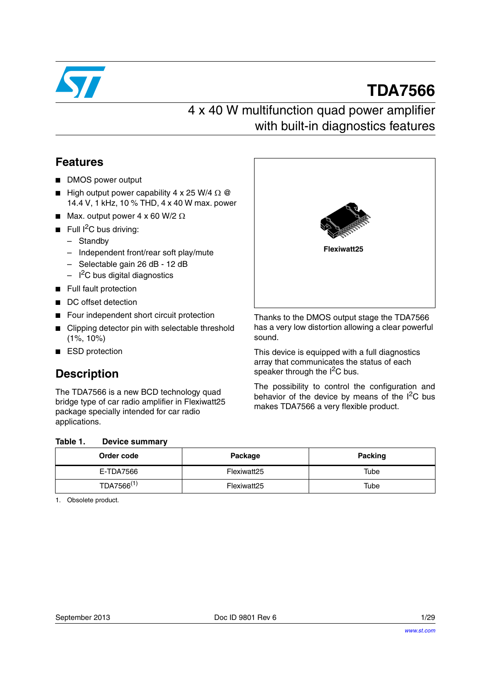

# **TDA7566**

## 4 x 40 W multifunction quad power amplifier with built-in diagnostics features

## **Features**

- DMOS power output
- High output power capability 4 x 25 W/4  $\Omega$  @ 14.4 V, 1 kHz, 10 % THD, 4 x 40 W max. power
- Max. output power 4 x 60 W/2  $\Omega$
- **■** Full  ${}^{12}C$  bus driving:
	- Standby
	- Independent front/rear soft play/mute
	- Selectable gain 26 dB 12 dB
	- $-$  I<sup>2</sup>C bus digital diagnostics
- Full fault protection
- DC offset detection
- Four independent short circuit protection
- Clipping detector pin with selectable threshold (1%, 10%)
- ESD protection

## **Description**

The TDA7566 is a new BCD technology quad bridge type of car radio amplifier in Flexiwatt25 package specially intended for car radio applications.

#### <span id="page-0-1"></span><span id="page-0-0"></span>Table 1 **Table 1. Device summary**

| . |                        |             |         |
|---|------------------------|-------------|---------|
|   | Order code             | Package     | Packing |
|   | E-TDA7566              | Flexiwatt25 | Tube    |
|   | TDA7566 <sup>(1)</sup> | Flexiwatt25 | Tube    |

1. Obsolete product.



Thanks to the DMOS output stage the TDA7566 has a very low distortion allowing a clear powerful sound.

This device is equipped with a full diagnostics array that communicates the status of each speaker through the  $I^2C$  bus.

The possibility to control the configuration and behavior of the device by means of the  $I<sup>2</sup>C$  bus makes TDA7566 a very flexible product.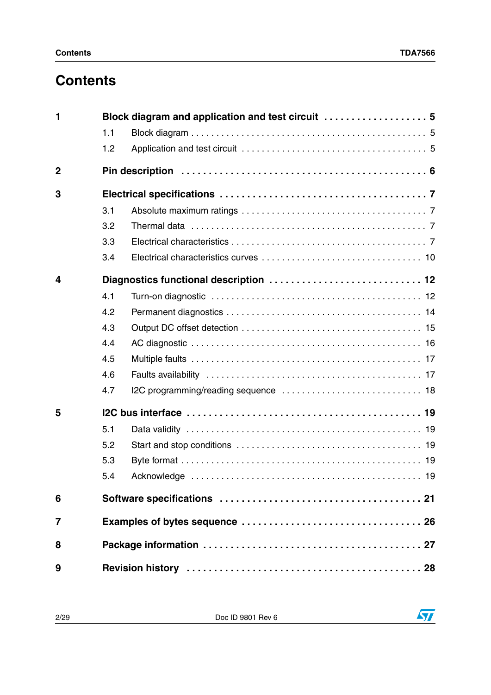## **Contents**

| 1              |     | Block diagram and application and test circuit  5 |
|----------------|-----|---------------------------------------------------|
|                | 1.1 |                                                   |
|                | 1.2 |                                                   |
| $\overline{2}$ |     |                                                   |
| 3              |     |                                                   |
|                | 3.1 |                                                   |
|                | 3.2 |                                                   |
|                | 3.3 |                                                   |
|                | 3.4 |                                                   |
| 4              |     |                                                   |
|                | 4.1 |                                                   |
|                | 4.2 |                                                   |
|                | 4.3 |                                                   |
|                | 4.4 |                                                   |
|                | 4.5 |                                                   |
|                | 4.6 |                                                   |
|                | 4.7 |                                                   |
| 5              |     |                                                   |
|                | 5.1 |                                                   |
|                | 5.2 |                                                   |
|                | 5.3 |                                                   |
|                | 5.4 |                                                   |
| 6              |     |                                                   |
| 7              |     |                                                   |
| 8              |     |                                                   |
| 9              |     |                                                   |

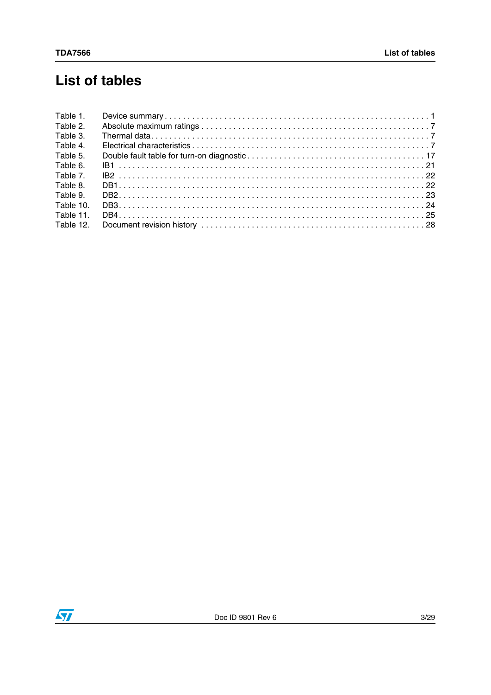## **List of tables**

| Table 1.  |  |
|-----------|--|
| Table 2.  |  |
| Table 3.  |  |
| Table 4.  |  |
| Table 5.  |  |
| Table 6.  |  |
| Table 7.  |  |
| Table 8.  |  |
| Table 9.  |  |
| Table 10. |  |
| Table 11. |  |
| Table 12. |  |

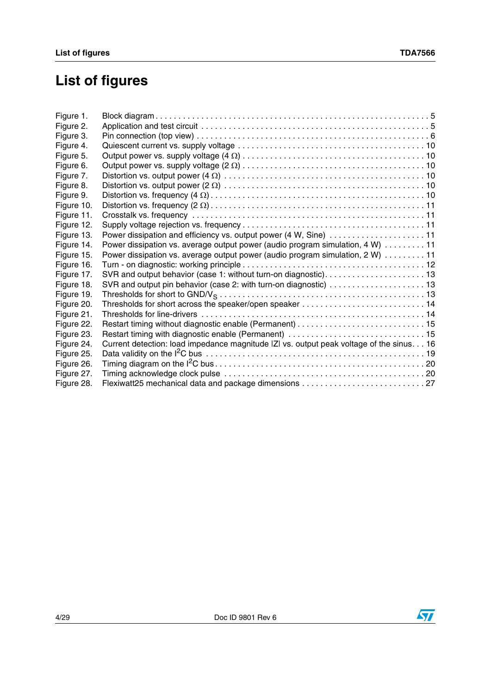## **List of figures**

| Figure 1.  |                                                                                          |  |
|------------|------------------------------------------------------------------------------------------|--|
| Figure 2.  |                                                                                          |  |
| Figure 3.  |                                                                                          |  |
| Figure 4.  |                                                                                          |  |
| Figure 5.  |                                                                                          |  |
| Figure 6.  |                                                                                          |  |
| Figure 7.  |                                                                                          |  |
| Figure 8.  |                                                                                          |  |
| Figure 9.  |                                                                                          |  |
| Figure 10. |                                                                                          |  |
| Figure 11. |                                                                                          |  |
| Figure 12. |                                                                                          |  |
| Figure 13. | Power dissipation and efficiency vs. output power (4 W, Sine) 11                         |  |
| Figure 14. | Power dissipation vs. average output power (audio program simulation, 4 W) 11            |  |
| Figure 15. | Power dissipation vs. average output power (audio program simulation, 2 W) 11            |  |
| Figure 16. |                                                                                          |  |
| Figure 17. | SVR and output behavior (case 1: without turn-on diagnostic) 13                          |  |
| Figure 18. |                                                                                          |  |
| Figure 19. |                                                                                          |  |
| Figure 20. |                                                                                          |  |
| Figure 21. |                                                                                          |  |
| Figure 22. |                                                                                          |  |
| Figure 23. |                                                                                          |  |
| Figure 24. | Current detection: load impedance magnitude  Z  vs. output peak voltage of the sinus. 16 |  |
| Figure 25. |                                                                                          |  |
| Figure 26. |                                                                                          |  |
| Figure 27. |                                                                                          |  |
| Figure 28. | Flexiwatt25 mechanical data and package dimensions  27                                   |  |
|            |                                                                                          |  |

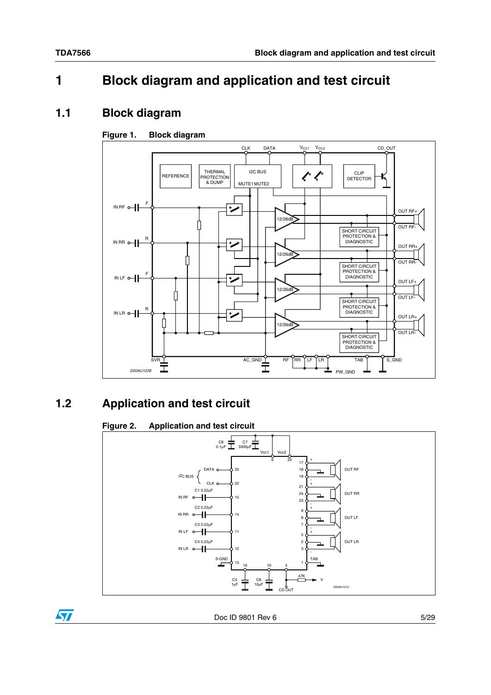$\sqrt{2}$ 

## <span id="page-4-0"></span>**1 Block diagram and application and test circuit**

### <span id="page-4-1"></span>**1.1 Block diagram**

### <span id="page-4-3"></span>**Figure 1. Block diagram**



## <span id="page-4-2"></span>**1.2 Application and test circuit**

### <span id="page-4-4"></span>**Figure 2. Application and test circuit**

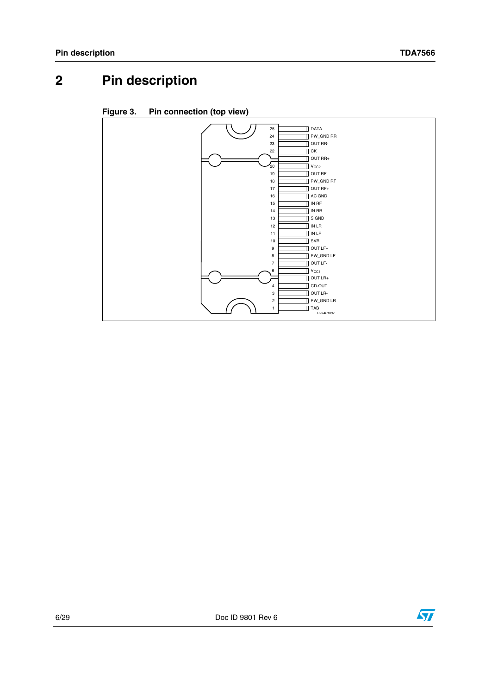## <span id="page-5-0"></span>**2 Pin description**

<span id="page-5-1"></span>

| Figure 3. | Pin connection (top view) |  |
|-----------|---------------------------|--|
|           |                           |  |

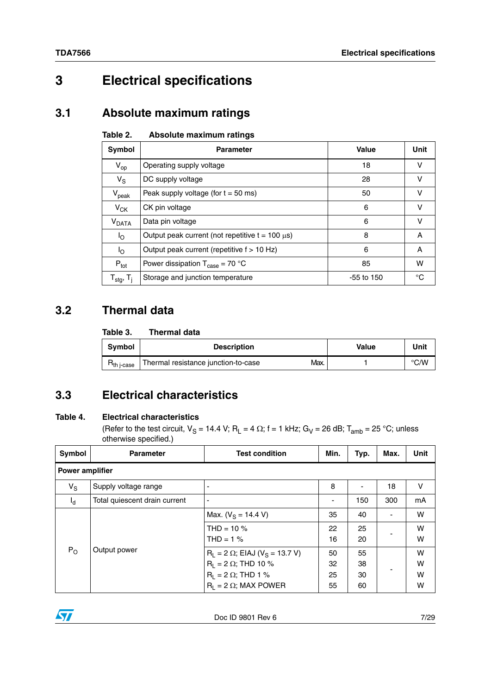## <span id="page-6-0"></span>**3 Electrical specifications**

## <span id="page-6-1"></span>**3.1 Absolute maximum ratings**

#### <span id="page-6-4"></span>Table 2. **Absolute maximum ratings**

| Symbol                            | <b>Parameter</b>                                      | Value      | Unit |
|-----------------------------------|-------------------------------------------------------|------------|------|
| $V_{op}$                          | Operating supply voltage                              | 18         | v    |
| $V_{\rm S}$                       | DC supply voltage                                     | 28         | v    |
| $\bm{\mathsf{V}}_{\mathsf{peak}}$ | Peak supply voltage (for $t = 50$ ms)                 | 50         | v    |
| $V_{CK}$                          | CK pin voltage                                        | 6          | v    |
| $V_{DATA}$                        | Data pin voltage                                      | 6          | v    |
| l <sub>O</sub>                    | Output peak current (not repetitive $t = 100 \mu s$ ) | 8          | A    |
| l <sub>O</sub>                    | Output peak current (repetitive f > 10 Hz)            | 6          | Α    |
| $P_{\text{tot}}$                  | Power dissipation $T_{\text{case}} = 70 \text{ °C}$   | 85         | w    |
| $T_{\text{stg}}$ , $T_{\text{j}}$ | Storage and junction temperature                      | -55 to 150 | °C   |

## <span id="page-6-2"></span>**3.2 Thermal data**

#### <span id="page-6-5"></span>Table 3. **Thermal data**

| <b>Symbol</b>   | <b>Description</b>                          | <b>Value</b> | Unit          |
|-----------------|---------------------------------------------|--------------|---------------|
| $H_{th}$ j-case | Thermal resistance junction-to-case<br>Max. |              | $\degree$ C/W |

## <span id="page-6-3"></span>**3.3 Electrical characteristics**

### <span id="page-6-6"></span>**Table 4. Electrical characteristics**

(Refer to the test circuit,  $V_S = 14.4$  V; R<sub>L</sub> = 4  $\Omega$ ; f = 1 kHz; G<sub>V</sub> = 26 dB; T<sub>amb</sub> = 25 °C; unless otherwise specified.)

| Symbol                 | <b>Parameter</b>              | <b>Test condition</b>                                                                                                                          | Min.                 | Typ.                 | Max. | Unit             |
|------------------------|-------------------------------|------------------------------------------------------------------------------------------------------------------------------------------------|----------------------|----------------------|------|------------------|
| <b>Power amplifier</b> |                               |                                                                                                                                                |                      |                      |      |                  |
| $V_S$                  | Supply voltage range          |                                                                                                                                                | 8                    |                      | 18   | v                |
| $I_{\rm d}$            | Total quiescent drain current | $\overline{a}$                                                                                                                                 | ٠                    | 150                  | 300  | mA               |
|                        |                               | Max. ( $V_S$ = 14.4 V)                                                                                                                         | 35                   | 40                   |      | W                |
|                        |                               | THD = $10\%$<br>$THD = 1$ %                                                                                                                    | 22<br>16             | 25<br>20             |      | W<br>W           |
| $P_{O}$                | Output power                  | $R_L = 2 \Omega$ ; EIAJ (V <sub>S</sub> = 13.7 V)<br>$R_1 = 2 \Omega$ ; THD 10 %<br>$R_1 = 2 \Omega$ ; THD 1 %<br>$R_1 = 2 \Omega$ ; MAX POWER | 50<br>32<br>25<br>55 | 55<br>38<br>30<br>60 |      | W<br>W<br>W<br>W |

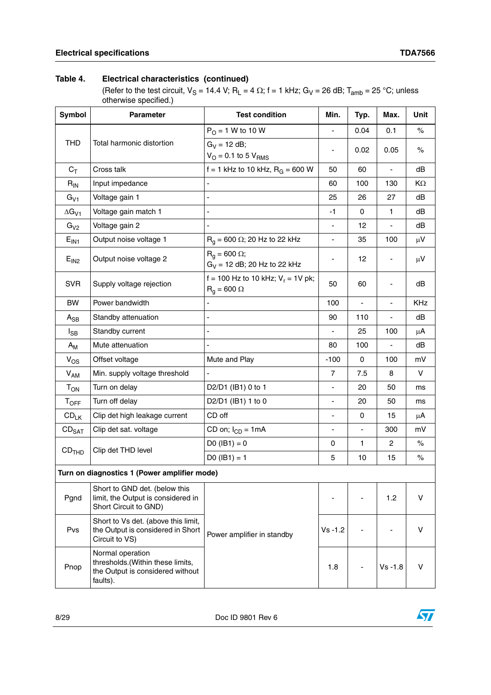### **Table 4. Electrical characteristics (continued)**

(Refer to the test circuit,  $V_S = 14.4$  V; R<sub>L</sub> = 4  $\Omega$ ; f = 1 kHz; G<sub>V</sub> = 26 dB; T<sub>amb</sub> = 25 °C; unless otherwise specified.)

| Symbol            | <b>Parameter</b>                                                                                     | <b>Test condition</b>                                                                                                                                                                                                                                                                                                                                                                                                                                                                                                                                                                                                                                                                                                                                                                                                                                                                                                                                                                                                                                                                                                                                                  | Min. | Typ. | Max.       | Unit |
|-------------------|------------------------------------------------------------------------------------------------------|------------------------------------------------------------------------------------------------------------------------------------------------------------------------------------------------------------------------------------------------------------------------------------------------------------------------------------------------------------------------------------------------------------------------------------------------------------------------------------------------------------------------------------------------------------------------------------------------------------------------------------------------------------------------------------------------------------------------------------------------------------------------------------------------------------------------------------------------------------------------------------------------------------------------------------------------------------------------------------------------------------------------------------------------------------------------------------------------------------------------------------------------------------------------|------|------|------------|------|
|                   |                                                                                                      | $P_0 = 1 W$ to 10 W                                                                                                                                                                                                                                                                                                                                                                                                                                                                                                                                                                                                                                                                                                                                                                                                                                                                                                                                                                                                                                                                                                                                                    |      | 0.04 | 0.1        | $\%$ |
| <b>THD</b>        | Total harmonic distortion                                                                            | $G_V = 12$ dB;                                                                                                                                                                                                                                                                                                                                                                                                                                                                                                                                                                                                                                                                                                                                                                                                                                                                                                                                                                                                                                                                                                                                                         |      |      |            |      |
|                   |                                                                                                      | $\%$<br>0.02<br>0.05<br>-<br>$V_{\rm O} = 0.1$ to 5 $V_{\rm RMS}$<br>f = 1 kHz to 10 kHz, $R_G$ = 600 W<br>dB<br>50<br>60<br>130<br>KΩ<br>60<br>100<br>25<br>27<br>dB<br>26<br>$\blacksquare$<br>dB<br>-1<br>0<br>1<br>÷,<br>$\overline{a}$<br>12<br>dB<br>$\qquad \qquad \blacksquare$<br>$R_q$ = 600 $\Omega$ ; 20 Hz to 22 kHz<br>35<br>100<br>$\mu$ V<br>÷,<br>$R_q$ = 600 $\Omega$ ;<br>12<br>$\mu$ V<br>$G_V = 12$ dB; 20 Hz to 22 kHz<br>f = 100 Hz to 10 kHz; $V_r$ = 1V pk;<br>dB<br>50<br>60<br>$R_g = 600 \Omega$<br>100<br>KHz<br>$\overline{a}$<br>dB<br>90<br>110<br>÷,<br>25<br>100<br>$\overline{a}$<br>$\mu$ A<br>dB<br>80<br>100<br>÷,<br>$\blacksquare$<br>Mute and Play<br>$-100$<br>0<br>100<br>mV<br>$\vee$<br>$\overline{7}$<br>7.5<br>8<br>÷,<br>D2/D1 (IB1) 0 to 1<br>20<br>50<br>ms<br>D2/D1 (IB1) 1 to 0<br>20<br>50<br>$\blacksquare$<br>ms<br>CD off<br>$\pmb{0}$<br>15<br>$\mu$ A<br>$\qquad \qquad \blacksquare$<br>CD on; $I_{CD} = 1mA$<br>300<br>mV<br>÷<br>÷,<br>$DO (IB1) = 0$<br>$\mathbf{1}$<br>0<br>$\overline{2}$<br>%<br>$DO (IB1) = 1$<br>5<br>$\%$<br>10<br>15<br>V<br>1.2<br>V<br>$Vs - 1.2$<br>Power amplifier in standby |      |      |            |      |
| $C_T$             | Cross talk                                                                                           |                                                                                                                                                                                                                                                                                                                                                                                                                                                                                                                                                                                                                                                                                                                                                                                                                                                                                                                                                                                                                                                                                                                                                                        |      |      |            |      |
| $R_{IN}$          | Input impedance                                                                                      |                                                                                                                                                                                                                                                                                                                                                                                                                                                                                                                                                                                                                                                                                                                                                                                                                                                                                                                                                                                                                                                                                                                                                                        |      |      |            |      |
| $G_{V1}$          | Voltage gain 1                                                                                       |                                                                                                                                                                                                                                                                                                                                                                                                                                                                                                                                                                                                                                                                                                                                                                                                                                                                                                                                                                                                                                                                                                                                                                        |      |      |            |      |
| $\Delta G_{V1}$   | Voltage gain match 1                                                                                 |                                                                                                                                                                                                                                                                                                                                                                                                                                                                                                                                                                                                                                                                                                                                                                                                                                                                                                                                                                                                                                                                                                                                                                        |      |      |            |      |
| G <sub>V2</sub>   | Voltage gain 2                                                                                       |                                                                                                                                                                                                                                                                                                                                                                                                                                                                                                                                                                                                                                                                                                                                                                                                                                                                                                                                                                                                                                                                                                                                                                        |      |      |            |      |
| $E_{IN1}$         | Output noise voltage 1                                                                               |                                                                                                                                                                                                                                                                                                                                                                                                                                                                                                                                                                                                                                                                                                                                                                                                                                                                                                                                                                                                                                                                                                                                                                        |      |      |            |      |
| E <sub>IN2</sub>  | Output noise voltage 2                                                                               |                                                                                                                                                                                                                                                                                                                                                                                                                                                                                                                                                                                                                                                                                                                                                                                                                                                                                                                                                                                                                                                                                                                                                                        |      |      |            |      |
| <b>SVR</b>        | Supply voltage rejection                                                                             |                                                                                                                                                                                                                                                                                                                                                                                                                                                                                                                                                                                                                                                                                                                                                                                                                                                                                                                                                                                                                                                                                                                                                                        |      |      |            |      |
| <b>BW</b>         | Power bandwidth                                                                                      |                                                                                                                                                                                                                                                                                                                                                                                                                                                                                                                                                                                                                                                                                                                                                                                                                                                                                                                                                                                                                                                                                                                                                                        |      |      |            |      |
| $A_{SB}$          | Standby attenuation                                                                                  |                                                                                                                                                                                                                                                                                                                                                                                                                                                                                                                                                                                                                                                                                                                                                                                                                                                                                                                                                                                                                                                                                                                                                                        |      |      |            |      |
| $I_{SB}$          | Standby current                                                                                      |                                                                                                                                                                                                                                                                                                                                                                                                                                                                                                                                                                                                                                                                                                                                                                                                                                                                                                                                                                                                                                                                                                                                                                        |      |      |            |      |
| $A_{M}$           | Mute attenuation                                                                                     |                                                                                                                                                                                                                                                                                                                                                                                                                                                                                                                                                                                                                                                                                                                                                                                                                                                                                                                                                                                                                                                                                                                                                                        |      |      |            |      |
| $V_{OS}$          | Offset voltage                                                                                       |                                                                                                                                                                                                                                                                                                                                                                                                                                                                                                                                                                                                                                                                                                                                                                                                                                                                                                                                                                                                                                                                                                                                                                        |      |      |            |      |
| $V_{AM}$          | Min. supply voltage threshold                                                                        |                                                                                                                                                                                                                                                                                                                                                                                                                                                                                                                                                                                                                                                                                                                                                                                                                                                                                                                                                                                                                                                                                                                                                                        |      |      |            |      |
| $T_{ON}$          | Turn on delay                                                                                        |                                                                                                                                                                                                                                                                                                                                                                                                                                                                                                                                                                                                                                                                                                                                                                                                                                                                                                                                                                                                                                                                                                                                                                        |      |      |            |      |
| $T_{\text{OFF}}$  | Turn off delay                                                                                       |                                                                                                                                                                                                                                                                                                                                                                                                                                                                                                                                                                                                                                                                                                                                                                                                                                                                                                                                                                                                                                                                                                                                                                        |      |      |            |      |
| $CD_{LK}$         | Clip det high leakage current                                                                        |                                                                                                                                                                                                                                                                                                                                                                                                                                                                                                                                                                                                                                                                                                                                                                                                                                                                                                                                                                                                                                                                                                                                                                        |      |      |            |      |
| $CD_{SAT}$        | Clip det sat. voltage                                                                                |                                                                                                                                                                                                                                                                                                                                                                                                                                                                                                                                                                                                                                                                                                                                                                                                                                                                                                                                                                                                                                                                                                                                                                        |      |      |            |      |
|                   |                                                                                                      |                                                                                                                                                                                                                                                                                                                                                                                                                                                                                                                                                                                                                                                                                                                                                                                                                                                                                                                                                                                                                                                                                                                                                                        |      |      |            |      |
| CD <sub>THD</sub> | Clip det THD level                                                                                   |                                                                                                                                                                                                                                                                                                                                                                                                                                                                                                                                                                                                                                                                                                                                                                                                                                                                                                                                                                                                                                                                                                                                                                        |      |      |            |      |
|                   | Turn on diagnostics 1 (Power amplifier mode)                                                         |                                                                                                                                                                                                                                                                                                                                                                                                                                                                                                                                                                                                                                                                                                                                                                                                                                                                                                                                                                                                                                                                                                                                                                        |      |      |            |      |
| Pgnd              | Short to GND det. (below this<br>limit, the Output is considered in<br>Short Circuit to GND)         |                                                                                                                                                                                                                                                                                                                                                                                                                                                                                                                                                                                                                                                                                                                                                                                                                                                                                                                                                                                                                                                                                                                                                                        |      |      |            |      |
| Pvs               | Short to Vs det. (above this limit,<br>the Output is considered in Short<br>Circuit to VS)           |                                                                                                                                                                                                                                                                                                                                                                                                                                                                                                                                                                                                                                                                                                                                                                                                                                                                                                                                                                                                                                                                                                                                                                        |      |      |            |      |
| Pnop              | Normal operation<br>thresholds.(Within these limits,<br>the Output is considered without<br>faults). |                                                                                                                                                                                                                                                                                                                                                                                                                                                                                                                                                                                                                                                                                                                                                                                                                                                                                                                                                                                                                                                                                                                                                                        | 1.8  |      | $Vs - 1.8$ | V    |

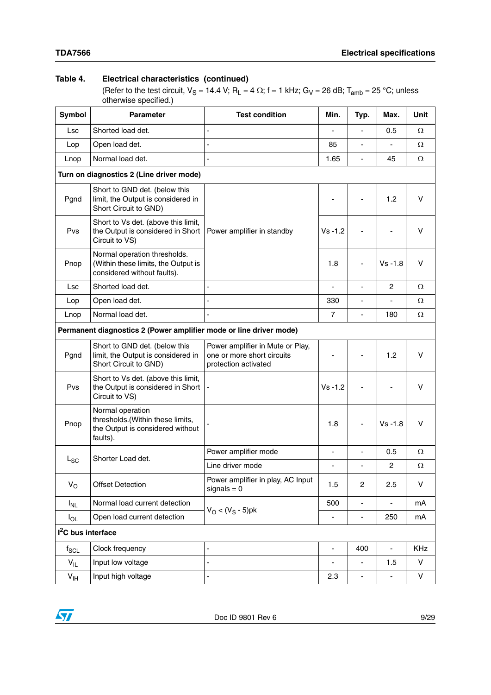### **Table 4. Electrical characteristics (continued)**

(Refer to the test circuit,  $V_S = 14.4$  V; R<sub>L</sub> = 4  $\Omega$ ; f = 1 kHz; G<sub>V</sub> = 26 dB; T<sub>amb</sub> = 25 °C; unless otherwise specified.)

| Symbol                         | <b>Parameter</b>                                                                                     | <b>Test condition</b>                                                                  | Min.<br>Typ.   |                          | Max.                     | <b>Unit</b> |
|--------------------------------|------------------------------------------------------------------------------------------------------|----------------------------------------------------------------------------------------|----------------|--------------------------|--------------------------|-------------|
| Lsc                            | Shorted load det.                                                                                    | L                                                                                      |                |                          | 0.5                      | Ω           |
| Lop                            | Open load det.                                                                                       | ÷,                                                                                     | 85             | ä,                       | $\blacksquare$           | Ω           |
| Lnop                           | Normal load det.                                                                                     | ÷,                                                                                     | 1.65           | $\overline{\phantom{a}}$ | 45                       | Ω           |
|                                | Turn on diagnostics 2 (Line driver mode)                                                             |                                                                                        |                |                          |                          |             |
| Pgnd                           | Short to GND det. (below this<br>limit, the Output is considered in<br>Short Circuit to GND)         |                                                                                        |                |                          | 1.2                      | v           |
| Pvs                            | Short to Vs det. (above this limit,<br>the Output is considered in Short<br>Circuit to VS)           | Power amplifier in standby                                                             | $Vs - 1.2$     |                          |                          | v           |
| Pnop                           | Normal operation thresholds.<br>(Within these limits, the Output is<br>considered without faults).   |                                                                                        | 1.8            |                          | $Vs - 1.8$               | v           |
| <b>Lsc</b>                     | Shorted load det.                                                                                    | Ĭ.                                                                                     | ÷,             | ÷,                       | 2                        | Ω           |
| Lop                            | Open load det.                                                                                       |                                                                                        | 330            |                          |                          | Ω           |
| Lnop                           | Normal load det.                                                                                     | ä,                                                                                     | $\overline{7}$ |                          | 180                      | Ω           |
|                                | Permanent diagnostics 2 (Power amplifier mode or line driver mode)                                   |                                                                                        |                |                          |                          |             |
| Pgnd                           | Short to GND det. (below this<br>limit, the Output is considered in<br>Short Circuit to GND)         | Power amplifier in Mute or Play,<br>one or more short circuits<br>protection activated |                |                          | 1.2                      | v           |
| Pvs                            | Short to Vs det. (above this limit,<br>the Output is considered in Short<br>Circuit to VS)           | ÷                                                                                      | $Vs - 1.2$     |                          |                          | v           |
| Pnop                           | Normal operation<br>thresholds.(Within these limits,<br>the Output is considered without<br>faults). |                                                                                        | 1.8            |                          | $Vs - 1.8$               | v           |
|                                | Shorter Load det.                                                                                    | Power amplifier mode                                                                   | ÷,             | ÷,                       | 0.5                      | Ω           |
| $L_{SC}$                       |                                                                                                      | Line driver mode                                                                       |                | $\overline{a}$           | $\overline{c}$           | Ω           |
| $V_{\rm O}$                    | <b>Offset Detection</b>                                                                              | Power amplifier in play, AC Input<br>$signals = 0$                                     | 1.5            | $\overline{c}$           | 2.5                      | V           |
| $I_{NL}$                       | Normal load current detection                                                                        |                                                                                        | 500            |                          |                          | mA          |
| $I_{OL}$                       | Open load current detection                                                                          | $V_{O}$ < ( $V_{S}$ - 5)pk                                                             | L,             | $\frac{1}{2}$            | 250                      | mA          |
| I <sup>2</sup> C bus interface |                                                                                                      |                                                                                        |                |                          |                          |             |
| $f_{SCL}$                      | Clock frequency                                                                                      | Ĭ.                                                                                     | ÷,             | 400                      | $\blacksquare$           | KHz         |
| $V_{\parallel L}$              | Input low voltage                                                                                    | ÷,                                                                                     |                |                          | 1.5                      | V           |
| $V_{\text{IH}}$                | Input high voltage                                                                                   | ÷,                                                                                     | 2.3            | ÷                        | $\overline{\phantom{0}}$ | V           |

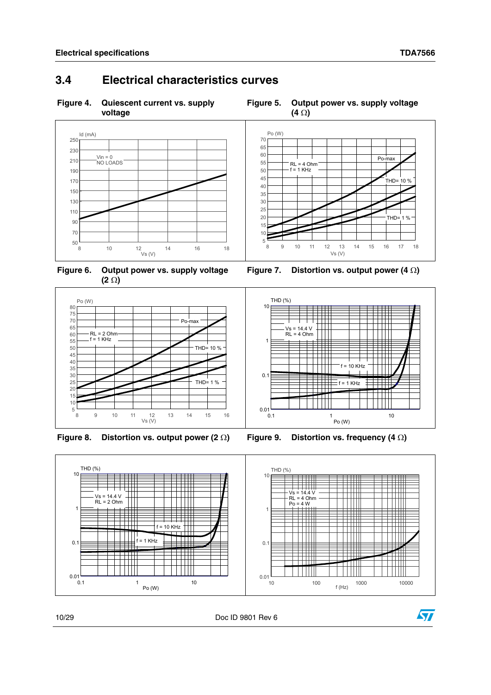## <span id="page-9-0"></span>**3.4 Electrical characteristics curves**

<span id="page-9-1"></span>**Figure 4. Quiescent current vs. supply voltage**

<span id="page-9-2"></span>



<span id="page-9-4"></span>

<span id="page-9-3"></span>**Figure 6. Output power vs. supply voltage**  $(2 \Omega)$ 



<span id="page-9-5"></span>Figure 8. Distortion vs. output power  $(2 \Omega)$  Figure 9. Distortion vs. frequency  $(4 \Omega)$ 

<span id="page-9-6"></span>



10/29 Doc ID 9801 Rev 6

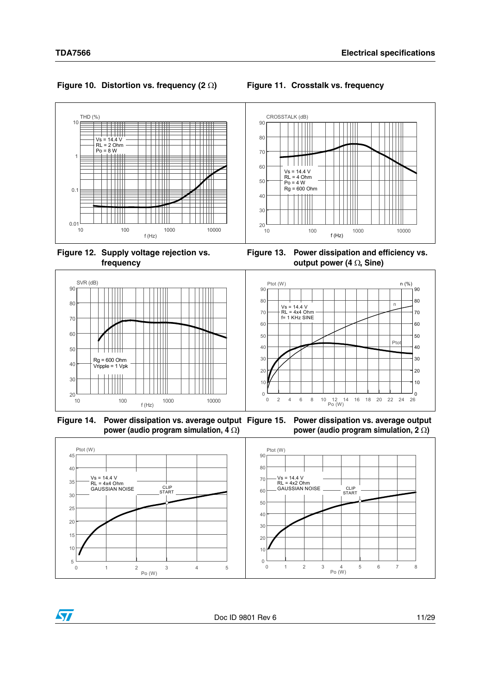

CROSSTALK (dB) THD (%) 10 90 ĦĦ Ħ  $Vs = 14.4 V$ 80 Ш TH RL = 2 Ohm Po = 8 W Π W Ш 70 1 Ħ ĦŦ T HII 60 Vs = 14.4 V RL = 4 Ohm 50  $\perp$  Po = 4 W Rg = 600 Ohm 0.1 E H 40 Ш ┯┯ 30  $\mathbf{1}$  $\mathbf{H}$  $\mathbf{H}$  $0.01$   $10$  $20\frac{L}{10}$ 10 100 1000 10000 10 100 1000 10000 10000  $f(Hz)$ f (Hz)

#### <span id="page-10-0"></span>**Figure 10. Distortion vs. frequency (2 ) Figure 11. Crosstalk vs. frequency**

<span id="page-10-1"></span>

<span id="page-10-2"></span>

<span id="page-10-3"></span>



<span id="page-10-4"></span>**Figure 14. Power dissipation vs. average output Figure 15. Power dissipation vs. average output power (audio program simulation, 4 ) power (audio program simulation, 2 )**



<span id="page-10-5"></span>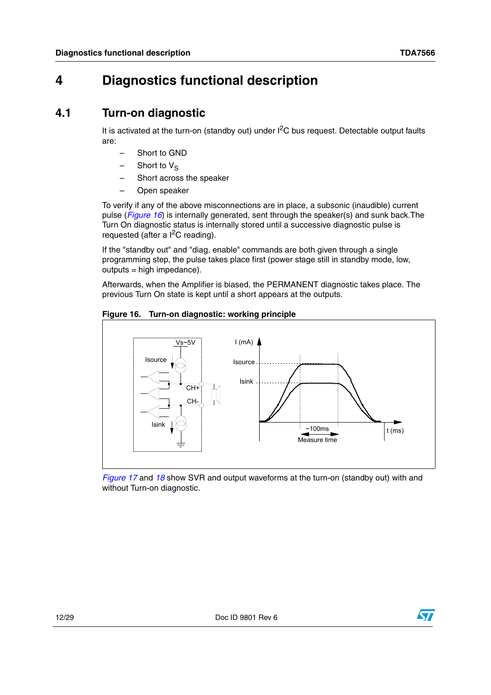## <span id="page-11-0"></span>**4 Diagnostics functional description**

### <span id="page-11-1"></span>**4.1 Turn-on diagnostic**

It is activated at the turn-on (standby out) under  $I<sup>2</sup>C$  bus request. Detectable output faults are:

- Short to GND
- $-$  Short to  $V_S$
- Short across the speaker
- Open speaker

To verify if any of the above misconnections are in place, a subsonic (inaudible) current pulse (*[Figure 16](#page-11-2)*) is internally generated, sent through the speaker(s) and sunk back.The Turn On diagnostic status is internally stored until a successive diagnostic pulse is requested (after a  $I^2C$  reading).

If the "standby out" and "diag. enable" commands are both given through a single programming step, the pulse takes place first (power stage still in standby mode, low,  $outouts = high impedance)$ .

Afterwards, when the Amplifier is biased, the PERMANENT diagnostic takes place. The previous Turn On state is kept until a short appears at the outputs.

<span id="page-11-2"></span>



*[Figure 17](#page-12-0)* and *[18](#page-12-1)* show SVR and output waveforms at the turn-on (standby out) with and without Turn-on diagnostic.

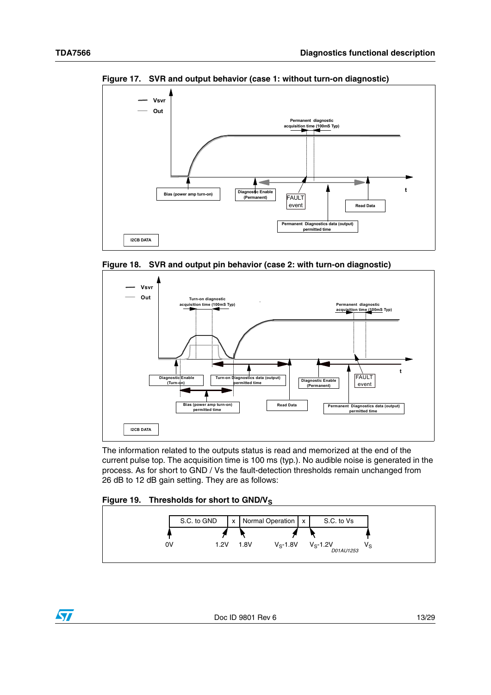

<span id="page-12-0"></span>**Figure 17. SVR and output behavior (case 1: without turn-on diagnostic)**

<span id="page-12-1"></span>



The information related to the outputs status is read and memorized at the end of the current pulse top. The acquisition time is 100 ms (typ.). No audible noise is generated in the process. As for short to GND / Vs the fault-detection thresholds remain unchanged from 26 dB to 12 dB gain setting. They are as follows:

#### <span id="page-12-2"></span>Figure 19. Thresholds for short to GND/V<sub>S</sub>



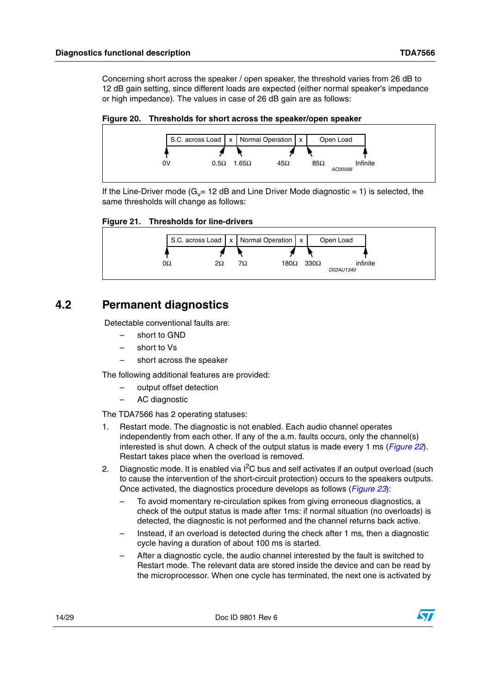Concerning short across the speaker / open speaker, the threshold varies from 26 dB to 12 dB gain setting, since different loads are expected (either normal speaker's impedance or high impedance). The values in case of 26 dB gain are as follows:

#### <span id="page-13-1"></span>**Figure 20. Thresholds for short across the speaker/open speaker**



If the Line-Driver mode ( $G_v$ = 12 dB and Line Driver Mode diagnostic = 1) is selected, the same thresholds will change as follows:

#### <span id="page-13-2"></span>**Figure 21. Thresholds for line-drivers**



### <span id="page-13-0"></span>**4.2 Permanent diagnostics**

Detectable conventional faults are:

- short to GND
- short to Vs
- short across the speaker

The following additional features are provided:

- output offset detection
- AC diagnostic

The TDA7566 has 2 operating statuses:

- 1. Restart mode. The diagnostic is not enabled. Each audio channel operates independently from each other. If any of the a.m. faults occurs, only the channel(s) interested is shut down. A check of the output status is made every 1 ms (*[Figure 22](#page-14-1)*). Restart takes place when the overload is removed.
- 2. Diagnostic mode. It is enabled via  $I^2C$  bus and self activates if an output overload (such to cause the intervention of the short-circuit protection) occurs to the speakers outputs. Once activated, the diagnostics procedure develops as follows (*[Figure 23](#page-14-2)*):
	- To avoid momentary re-circulation spikes from giving erroneous diagnostics, a check of the output status is made after 1ms: if normal situation (no overloads) is detected, the diagnostic is not performed and the channel returns back active.
	- Instead, if an overload is detected during the check after 1 ms, then a diagnostic cycle having a duration of about 100 ms is started.
	- After a diagnostic cycle, the audio channel interested by the fault is switched to Restart mode. The relevant data are stored inside the device and can be read by the microprocessor. When one cycle has terminated, the next one is activated by

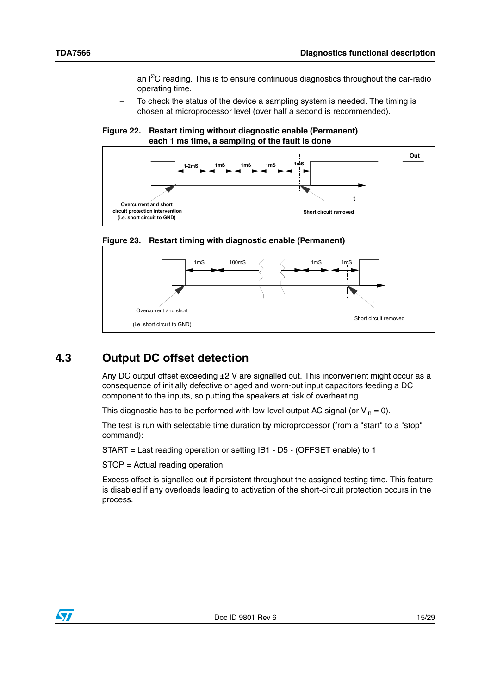an  $I^2C$  reading. This is to ensure continuous diagnostics throughout the car-radio operating time.

– To check the status of the device a sampling system is needed. The timing is chosen at microprocessor level (over half a second is recommended).

#### <span id="page-14-1"></span>**Figure 22. Restart timing without diagnostic enable (Permanent) each 1 ms time, a sampling of the fault is done**



<span id="page-14-2"></span>



### <span id="page-14-0"></span>**4.3 Output DC offset detection**

Any DC output offset exceeding  $\pm 2$  V are signalled out. This inconvenient might occur as a consequence of initially defective or aged and worn-out input capacitors feeding a DC component to the inputs, so putting the speakers at risk of overheating.

This diagnostic has to be performed with low-level output AC signal (or  $V_{in} = 0$ ).

The test is run with selectable time duration by microprocessor (from a "start" to a "stop" command):

START = Last reading operation or setting IB1 - D5 - (OFFSET enable) to 1

STOP = Actual reading operation

Excess offset is signalled out if persistent throughout the assigned testing time. This feature is disabled if any overloads leading to activation of the short-circuit protection occurs in the process.

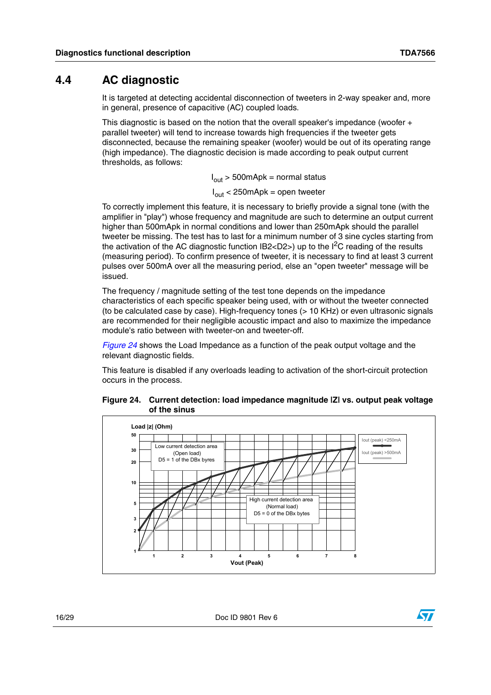### <span id="page-15-0"></span>**4.4 AC diagnostic**

It is targeted at detecting accidental disconnection of tweeters in 2-way speaker and, more in general, presence of capacitive (AC) coupled loads.

This diagnostic is based on the notion that the overall speaker's impedance (woofer + parallel tweeter) will tend to increase towards high frequencies if the tweeter gets disconnected, because the remaining speaker (woofer) would be out of its operating range (high impedance). The diagnostic decision is made according to peak output current thresholds, as follows:

 $I_{\text{out}}$  > 500mApk = normal status

 $I_{\text{out}}$  < 250 mApk = open tweeter

To correctly implement this feature, it is necessary to briefly provide a signal tone (with the amplifier in "play") whose frequency and magnitude are such to determine an output current higher than 500mApk in normal conditions and lower than 250mApk should the parallel tweeter be missing. The test has to last for a minimum number of 3 sine cycles starting from the activation of the AC diagnostic function  $IB2 < D2$ ) up to the  $I^2C$  reading of the results (measuring period). To confirm presence of tweeter, it is necessary to find at least 3 current pulses over 500mA over all the measuring period, else an "open tweeter" message will be issued.

The frequency / magnitude setting of the test tone depends on the impedance characteristics of each specific speaker being used, with or without the tweeter connected (to be calculated case by case). High-frequency tones (> 10 KHz) or even ultrasonic signals are recommended for their negligible acoustic impact and also to maximize the impedance module's ratio between with tweeter-on and tweeter-off.

*[Figure 24](#page-15-1)* shows the Load Impedance as a function of the peak output voltage and the relevant diagnostic fields.

This feature is disabled if any overloads leading to activation of the short-circuit protection occurs in the process.

<span id="page-15-1"></span>



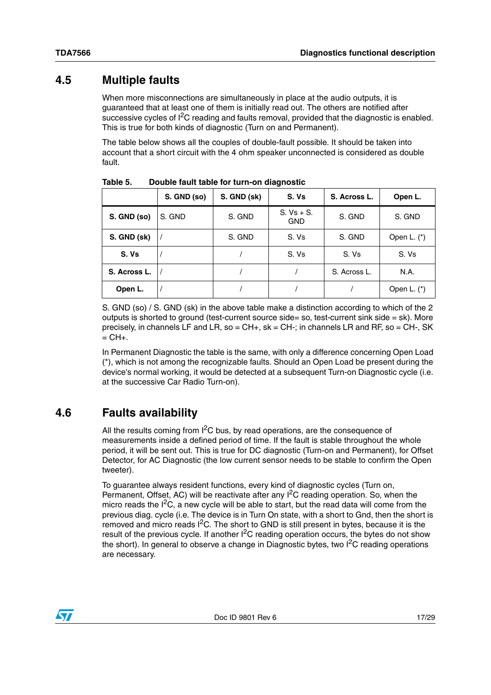### <span id="page-16-0"></span>**4.5 Multiple faults**

When more misconnections are simultaneously in place at the audio outputs, it is guaranteed that at least one of them is initially read out. The others are notified after successive cycles of  $I^2C$  reading and faults removal, provided that the diagnostic is enabled. This is true for both kinds of diagnostic (Turn on and Permanent).

The table below shows all the couples of double-fault possible. It should be taken into account that a short circuit with the 4 ohm speaker unconnected is considered as double fault.

|              | S. GND (so) | S. GND (sk) | S. Vs                      | S. Across L. | Open L.       |
|--------------|-------------|-------------|----------------------------|--------------|---------------|
| S. GND (so)  | S. GND      | S. GND      | $S. Vs + S.$<br><b>GND</b> | S. GND       | S. GND        |
| S. GND (sk)  |             | S. GND      | S. Vs                      | S. GND       | Open L. (*)   |
| S. Vs        |             |             | S. Vs                      | S. Vs        | S. Vs         |
| S. Across L. |             |             |                            | S. Across L. | N.A.          |
| Open L.      |             |             |                            |              | Open L. $(*)$ |

<span id="page-16-2"></span>Table 5. **Table 5. Double fault table for turn-on diagnostic**

S. GND (so) / S. GND (sk) in the above table make a distinction according to which of the 2 outputs is shorted to ground (test-current source side= so, test-current sink side = sk). More precisely, in channels LF and LR, so =  $CH+$ , sk =  $CH-$ ; in channels LR and RF, so =  $CH-$ , SK  $=$  CH $+$ .

In Permanent Diagnostic the table is the same, with only a difference concerning Open Load (\*), which is not among the recognizable faults. Should an Open Load be present during the device's normal working, it would be detected at a subsequent Turn-on Diagnostic cycle (i.e. at the successive Car Radio Turn-on).

## <span id="page-16-1"></span>**4.6 Faults availability**

All the results coming from  $I^2C$  bus, by read operations, are the consequence of measurements inside a defined period of time. If the fault is stable throughout the whole period, it will be sent out. This is true for DC diagnostic (Turn-on and Permanent), for Offset Detector, for AC Diagnostic (the low current sensor needs to be stable to confirm the Open tweeter).

To guarantee always resident functions, every kind of diagnostic cycles (Turn on, Permanent, Offset, AC) will be reactivate after any <sup>2</sup>C reading operation. So, when the micro reads the  $I^2C$ , a new cycle will be able to start, but the read data will come from the previous diag. cycle (i.e. The device is in Turn On state, with a short to Gnd, then the short is removed and micro reads  $I^2C$ . The short to GND is still present in bytes, because it is the result of the previous cycle. If another  $I<sup>2</sup>C$  reading operation occurs, the bytes do not show the short). In general to observe a change in Diagnostic bytes, two  $I^2C$  reading operations are necessary.

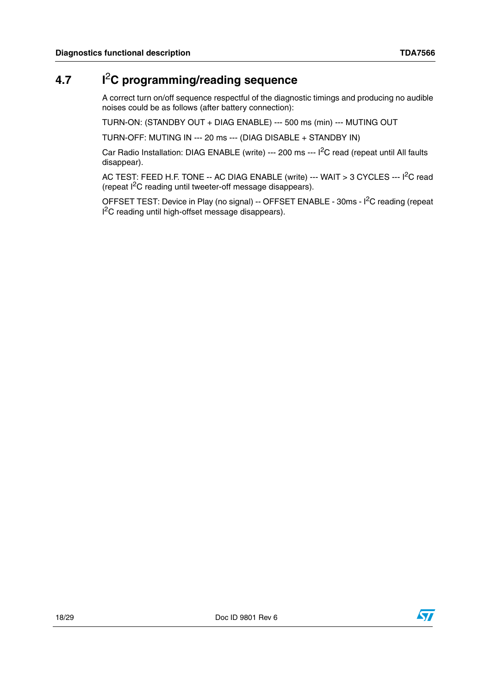## <span id="page-17-0"></span>**4.7 I**2**C programming/reading sequence**

A correct turn on/off sequence respectful of the diagnostic timings and producing no audible noises could be as follows (after battery connection):

TURN-ON: (STANDBY OUT + DIAG ENABLE) --- 500 ms (min) --- MUTING OUT

TURN-OFF: MUTING IN --- 20 ms --- (DIAG DISABLE + STANDBY IN)

Car Radio Installation: DIAG ENABLE (write) --- 200 ms --- I<sup>2</sup>C read (repeat until All faults disappear).

AC TEST: FEED H.F. TONE -- AC DIAG ENABLE (write) --- WAIT > 3 CYCLES --- I<sup>2</sup>C read (repeat I2C reading until tweeter-off message disappears).

OFFSET TEST: Device in Play (no signal) -- OFFSET ENABLE - 30ms - I<sup>2</sup>C reading (repeat I<sup>2</sup>C reading until high-offset message disappears).

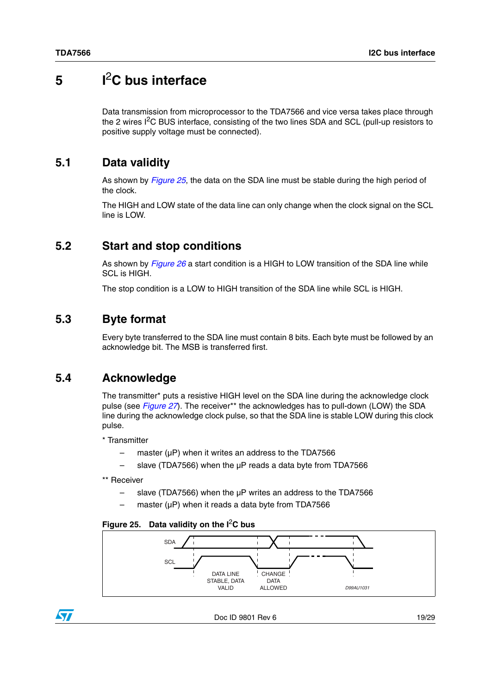## <span id="page-18-0"></span>**5 I**2**C bus interface**

Data transmission from microprocessor to the TDA7566 and vice versa takes place through the 2 wires I<sup>2</sup>C BUS interface, consisting of the two lines SDA and SCL (pull-up resistors to positive supply voltage must be connected).

### <span id="page-18-1"></span>**5.1 Data validity**

As shown by *[Figure 25](#page-18-5)*, the data on the SDA line must be stable during the high period of the clock.

The HIGH and LOW state of the data line can only change when the clock signal on the SCL line is LOW.

### <span id="page-18-2"></span>**5.2 Start and stop conditions**

As shown by *[Figure 26](#page-19-0)* a start condition is a HIGH to LOW transition of the SDA line while SCL is HIGH.

The stop condition is a LOW to HIGH transition of the SDA line while SCL is HIGH.

### <span id="page-18-3"></span>**5.3 Byte format**

Every byte transferred to the SDA line must contain 8 bits. Each byte must be followed by an acknowledge bit. The MSB is transferred first.

### <span id="page-18-4"></span>**5.4 Acknowledge**

The transmitter\* puts a resistive HIGH level on the SDA line during the acknowledge clock pulse (see *[Figure 27](#page-19-1)*). The receiver\*\* the acknowledges has to pull-down (LOW) the SDA line during the acknowledge clock pulse, so that the SDA line is stable LOW during this clock pulse.

\* Transmitter

- master ( $\mu$ P) when it writes an address to the TDA7566
- slave (TDA7566) when the µP reads a data byte from TDA7566
- \*\* Receiver
	- $-$  slave (TDA7566) when the  $\mu$ P writes an address to the TDA7566
	- master (uP) when it reads a data byte from TDA7566

#### <span id="page-18-5"></span>**Figure 25. Data validity on the I**2**C bus**



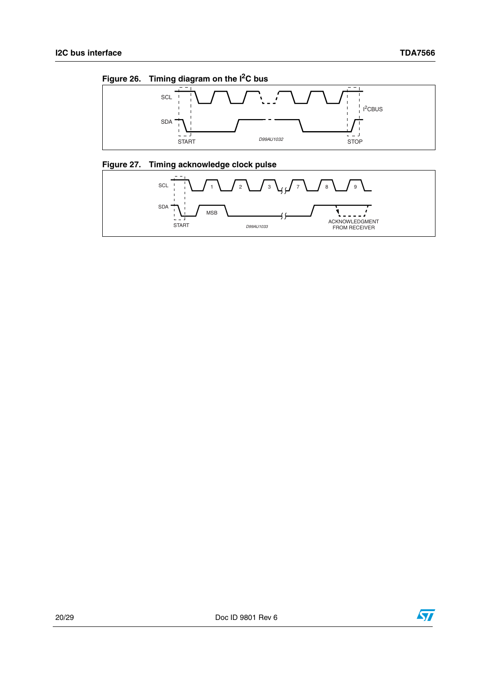<span id="page-19-0"></span>



### <span id="page-19-1"></span>**Figure 27. Timing acknowledge clock pulse**



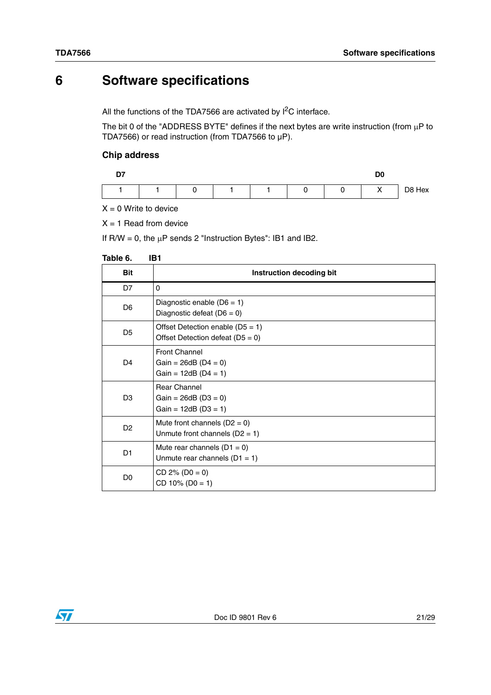## <span id="page-20-0"></span>**6 Software specifications**

All the functions of the TDA7566 are activated by  $I^2C$  interface.

The bit 0 of the "ADDRESS BYTE" defines if the next bytes are write instruction (from  $\mu$ P to TDA7566) or read instruction (from TDA7566 to µP).

#### **Chip address**

| --<br>. . |  |   |  |  |   | טע |                          |        |
|-----------|--|---|--|--|---|----|--------------------------|--------|
|           |  | C |  |  | 0 |    | $\checkmark$<br>$\cdots$ | D8 Hex |

 $X = 0$  Write to device

 $X = 1$  Read from device

If  $R/W = 0$ , the  $\mu P$  sends 2 "Instruction Bytes": IB1 and IB2.

#### <span id="page-20-1"></span>**Table 6. IB1**

| <b>Bit</b>     | Instruction decoding bit                                                 |
|----------------|--------------------------------------------------------------------------|
| D7             | $\Omega$                                                                 |
| D <sub>6</sub> | Diagnostic enable ( $D6 = 1$ )<br>Diagnostic defeat $(D6 = 0)$           |
| D <sub>5</sub> | Offset Detection enable $(D5 = 1)$<br>Offset Detection defeat $(D5 = 0)$ |
| D <sub>4</sub> | <b>Front Channel</b><br>Gain = $26dB$ (D4 = 0)<br>Gain = $12dB$ (D4 = 1) |
| D <sub>3</sub> | <b>Rear Channel</b><br>Gain = $26dB$ (D3 = 0)<br>Gain = $12dB$ (D3 = 1)  |
| D <sub>2</sub> | Mute front channels $(D2 = 0)$<br>Unmute front channels $(D2 = 1)$       |
| D <sub>1</sub> | Mute rear channels $(D1 = 0)$<br>Unmute rear channels $(D1 = 1)$         |
| D <sub>0</sub> | $CD 2\% (D0 = 0)$<br>$CD 10\% (D0 = 1)$                                  |

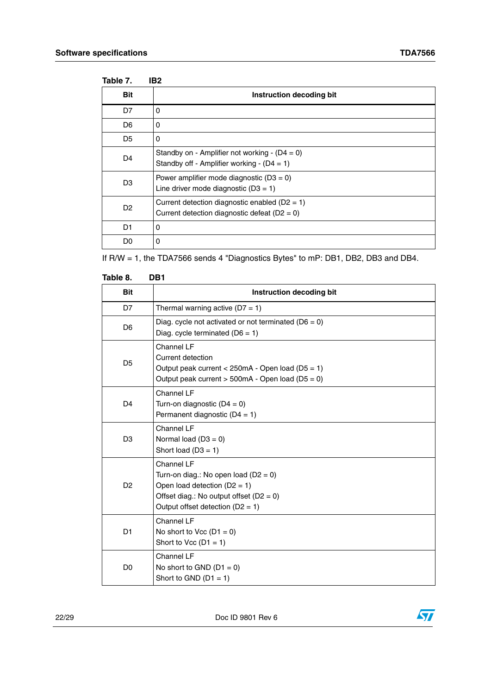<span id="page-21-0"></span>

| Table 7.       | IB <sub>2</sub>                                                                                       |
|----------------|-------------------------------------------------------------------------------------------------------|
| <b>Bit</b>     | Instruction decoding bit                                                                              |
| D7             | 0                                                                                                     |
| D <sub>6</sub> | 0                                                                                                     |
| D <sub>5</sub> | 0                                                                                                     |
| D <sub>4</sub> | Standby on - Amplifier not working - $(D4 = 0)$<br>Standby off - Amplifier working - $(D4 = 1)$       |
| D <sub>3</sub> | Power amplifier mode diagnostic $(D3 = 0)$<br>Line driver mode diagnostic $(D3 = 1)$                  |
| D <sub>2</sub> | Current detection diagnostic enabled ( $D2 = 1$ )<br>Current detection diagnostic defeat ( $D2 = 0$ ) |
| D1             | 0                                                                                                     |
| D0             | 0                                                                                                     |

If R/W = 1, the TDA7566 sends 4 "Diagnostics Bytes" to mP: DB1, DB2, DB3 and DB4.

<span id="page-21-1"></span>

| Table 8.       | DB1                                                                                                                                                                           |
|----------------|-------------------------------------------------------------------------------------------------------------------------------------------------------------------------------|
| <b>Bit</b>     | Instruction decoding bit                                                                                                                                                      |
| D7             | Thermal warning active $(D7 = 1)$                                                                                                                                             |
| D <sub>6</sub> | Diag. cycle not activated or not terminated ( $D6 = 0$ )<br>Diag. cycle terminated $(D6 = 1)$                                                                                 |
| D <sub>5</sub> | Channel LF<br>Current detection<br>Output peak current < $250mA - Open load (D5 = 1)$<br>Output peak current $>$ 500mA - Open load (D5 = 0)                                   |
| D <sub>4</sub> | Channel LF<br>Turn-on diagnostic $(D4 = 0)$<br>Permanent diagnostic $(D4 = 1)$                                                                                                |
| D <sub>3</sub> | Channel LF<br>Normal load $(D3 = 0)$<br>Short load $(D3 = 1)$                                                                                                                 |
| D <sub>2</sub> | Channel LF<br>Turn-on diag.: No open load ( $D2 = 0$ )<br>Open load detection $(D2 = 1)$<br>Offset diag.: No output offset $(D2 = 0)$<br>Output offset detection ( $D2 = 1$ ) |
| D <sub>1</sub> | Channel LF<br>No short to Vcc $(D1 = 0)$<br>Short to Vcc $(D1 = 1)$                                                                                                           |
| D <sub>0</sub> | Channel LF<br>No short to GND $(D1 = 0)$<br>Short to GND $(D1 = 1)$                                                                                                           |

22/29 Doc ID 9801 Rev 6

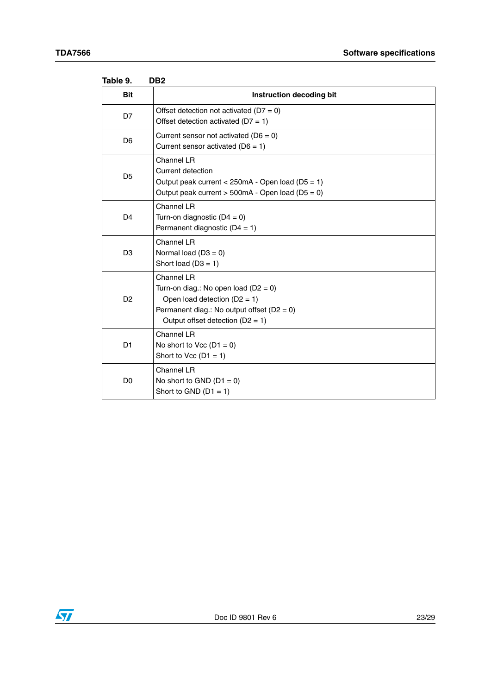| raule J.       | שטע                                                                                                                                                                            |
|----------------|--------------------------------------------------------------------------------------------------------------------------------------------------------------------------------|
| <b>Bit</b>     | Instruction decoding bit                                                                                                                                                       |
| D7             | Offset detection not activated ( $D7 = 0$ )<br>Offset detection activated ( $D7 = 1$ )                                                                                         |
| D <sub>6</sub> | Current sensor not activated ( $D6 = 0$ )<br>Current sensor activated ( $D6 = 1$ )                                                                                             |
| D <sub>5</sub> | Channel LR<br>Current detection<br>Output peak current < 250mA - Open load (D5 = 1)<br>Output peak current $> 500mA - Open load (D5 = 0)$                                      |
| D <sub>4</sub> | Channel LR<br>Turn-on diagnostic $(D4 = 0)$<br>Permanent diagnostic $(D4 = 1)$                                                                                                 |
| D <sub>3</sub> | Channel LR<br>Normal load $(D3 = 0)$<br>Short load $(D3 = 1)$                                                                                                                  |
| D <sub>2</sub> | Channel LR<br>Turn-on diag.: No open load ( $D2 = 0$ )<br>Open load detection $(D2 = 1)$<br>Permanent diag.: No output offset $(D2 = 0)$<br>Output offset detection $(D2 = 1)$ |
| D <sub>1</sub> | Channel LR<br>No short to Vcc $(D1 = 0)$<br>Short to Vcc $(D1 = 1)$                                                                                                            |
| D <sub>0</sub> | Channel LR<br>No short to GND $(D1 = 0)$<br>Short to GND $(D1 = 1)$                                                                                                            |

<span id="page-22-0"></span>

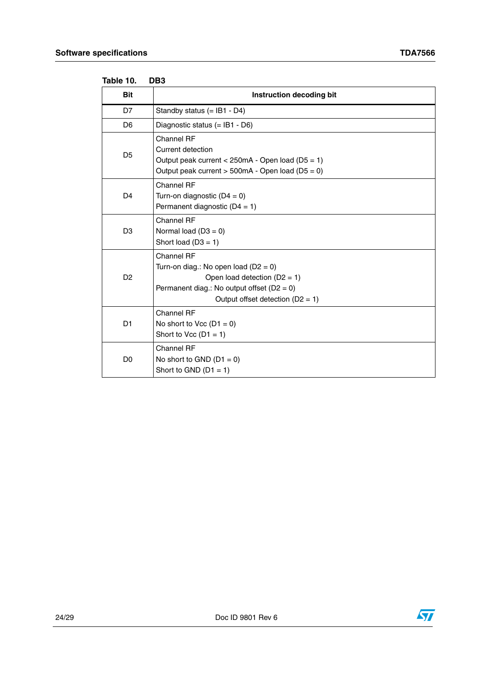| iaule IV.      | טטע                                                                                                                                                                            |
|----------------|--------------------------------------------------------------------------------------------------------------------------------------------------------------------------------|
| <b>Bit</b>     | Instruction decoding bit                                                                                                                                                       |
| D7             | Standby status $(=$ IB1 - D4)                                                                                                                                                  |
| D <sub>6</sub> | Diagnostic status $(=$ IB1 - D6)                                                                                                                                               |
| D <sub>5</sub> | Channel RF<br>Current detection<br>Output peak current < $250mA - Open load (D5 = 1)$<br>Output peak current $> 500mA - Open load (D5 = 0)$                                    |
| D <sub>4</sub> | Channel RF<br>Turn-on diagnostic $(D4 = 0)$<br>Permanent diagnostic $(D4 = 1)$                                                                                                 |
| D <sub>3</sub> | Channel RF<br>Normal load $(D3 = 0)$<br>Short load $(D3 = 1)$                                                                                                                  |
| D <sub>2</sub> | Channel RF<br>Turn-on diag.: No open load ( $D2 = 0$ )<br>Open load detection $(D2 = 1)$<br>Permanent diag.: No output offset $(D2 = 0)$<br>Output offset detection $(D2 = 1)$ |
| D <sub>1</sub> | Channel RF<br>No short to Vcc $(D1 = 0)$<br>Short to Vcc $(D1 = 1)$                                                                                                            |
| D <sub>0</sub> | Channel RF<br>No short to GND $(D1 = 0)$<br>Short to GND $(D1 = 1)$                                                                                                            |

<span id="page-23-0"></span>

| Table 10. |  | DB3 |
|-----------|--|-----|
|-----------|--|-----|



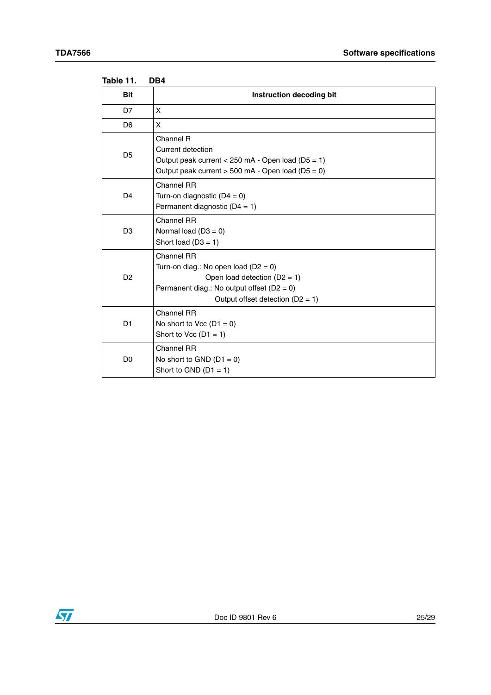<span id="page-24-0"></span>

| Table 11.      | DB4                                                                                                                                          |
|----------------|----------------------------------------------------------------------------------------------------------------------------------------------|
| <b>Bit</b>     | Instruction decoding bit                                                                                                                     |
| D7             | X                                                                                                                                            |
| D <sub>6</sub> | X                                                                                                                                            |
| D5             | Channel R<br>Current detection<br>Output peak current $<$ 250 mA - Open load (D5 = 1)<br>Output peak current $>$ 500 mA - Open load (D5 = 0) |
| D4             | Channel RR<br>Turn-on diagnostic $(D4 = 0)$<br>Permanent diagnostic $(D4 = 1)$                                                               |
| פח             | Channel RR<br>$Normal$ $(A2 - 0)$                                                                                                            |

|                | Permanent diagnostic $(D4 = 1)$                                                                                                                                                |
|----------------|--------------------------------------------------------------------------------------------------------------------------------------------------------------------------------|
| D <sub>3</sub> | Channel RR<br>Normal load $(D3 = 0)$<br>Short load $(D3 = 1)$                                                                                                                  |
| D <sub>2</sub> | Channel RR<br>Turn-on diag.: No open load ( $D2 = 0$ )<br>Open load detection $(D2 = 1)$<br>Permanent diag.: No output offset $(D2 = 0)$<br>Output offset detection $(D2 = 1)$ |
| D1             | Channel RR<br>No short to Vcc $(D1 = 0)$<br>Short to Vcc $(D1 = 1)$                                                                                                            |
| D <sub>0</sub> | Channel RR<br>No short to GND $(D1 = 0)$<br>Short to GND $(D1 = 1)$                                                                                                            |

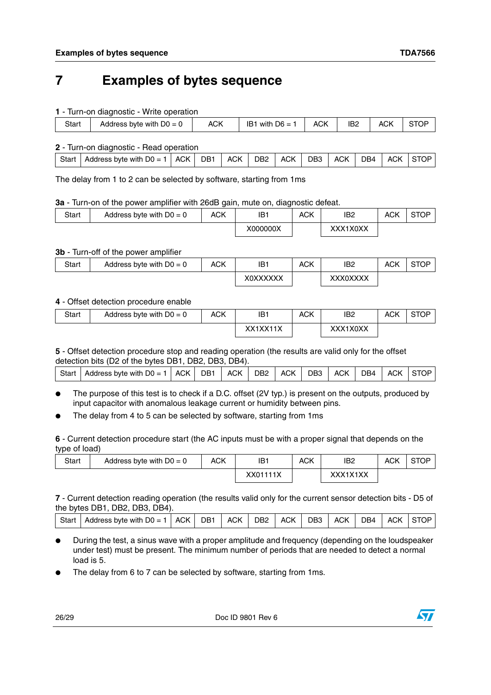## <span id="page-25-0"></span>**7 Examples of bytes sequence**

**1** - Turn-on diagnostic - Write operation

| <b>ACK</b><br>IB <sub>2</sub><br>ACK<br>ACK<br>IB1 with $D6 =$<br>Start<br>Address byte with $D0 = 0$ | .<br>. |  |  |  |
|-------------------------------------------------------------------------------------------------------|--------|--|--|--|
|                                                                                                       |        |  |  |  |

**2** - Turn-on diagnostic - Read operation

| Start | Address byte with $D0 = 0$ | <b>ACK</b> | DB <sub>1</sub> | <b>ACK</b> | DB <sub>2</sub> | <b>ACK</b> | DB <sub>3</sub> | <b>ACK</b> | D <sub>B4</sub> | <b>ACK</b> | :≀OP |
|-------|----------------------------|------------|-----------------|------------|-----------------|------------|-----------------|------------|-----------------|------------|------|
|       |                            |            |                 |            |                 |            |                 |            |                 |            |      |

The delay from 1 to 2 can be selected by software, starting from 1ms

#### **3a** - Turn-on of the power amplifier with 26dB gain, mute on, diagnostic defeat.

| Start | Address byte with $D0 = 0$ | <b>ACK</b> | IB1      | <b>ACK</b> | IB <sub>2</sub> | ACK | STOP |
|-------|----------------------------|------------|----------|------------|-----------------|-----|------|
|       |                            |            | X000000X |            | XXX1X0XX        |     |      |

#### **3b** - Turn-off of the power amplifier

| Start | Address byte with $D0 = 0$ | <b>ACK</b> | IB1      | <b>ACK</b> | IB2      | ACK | <b>STOP</b> |
|-------|----------------------------|------------|----------|------------|----------|-----|-------------|
|       |                            |            | X0XXXXXX |            | XXX0XXXX |     |             |

#### **4** - Offset detection procedure enable

| <b>Start</b> | Address byte with $D0 = 0$ | <b>ACK</b> | IB1      | <b>ACK</b> | IB <sub>2</sub> | <b>ACK</b> | <b>STOP</b> |
|--------------|----------------------------|------------|----------|------------|-----------------|------------|-------------|
|              |                            |            | XX1XX11X |            | XXX1X0XX        |            |             |

**5** - Offset detection procedure stop and reading operation (the results are valid only for the offset detection bits (D2 of the bytes DB1, DB2, DB3, DB4).

| <sup>1</sup> Address byte with D0 = 1   ACK   DB1   ACK   DB2   ACK   DB3   ACK   DB4   ACK  STOP  <br>Start I |  |  |  |  |  |  |
|----------------------------------------------------------------------------------------------------------------|--|--|--|--|--|--|
|                                                                                                                |  |  |  |  |  |  |

The purpose of this test is to check if a D.C. offset (2V typ.) is present on the outputs, produced by input capacitor with anomalous leakage current or humidity between pins.

The delay from 4 to 5 can be selected by software, starting from 1ms

**6** - Current detection procedure start (the AC inputs must be with a proper signal that depends on the type of load)

| Start | Address byte with $D0 = 0$ | <b>ACK</b> | IB1      | ACK | IB <sub>2</sub>              | ACK | <b>STOP</b> |
|-------|----------------------------|------------|----------|-----|------------------------------|-----|-------------|
|       |                            |            | XX01111X |     | <b>VVV1V1VV</b><br>$\Lambda$ |     |             |

**7** - Current detection reading operation (the results valid only for the current sensor detection bits - D5 of the bytes DB1, DB2, DB3, DB4).

|  | Address byte with $D0 = 1$<br>Start | I ACK I | DB <sub>1</sub> | <b>ACK</b> | DB <sub>2</sub> | <b>ACK</b> | DB <sub>3</sub> | <b>ACK</b> | D <sub>B4</sub> | <b>ACK</b> | STOP |
|--|-------------------------------------|---------|-----------------|------------|-----------------|------------|-----------------|------------|-----------------|------------|------|
|--|-------------------------------------|---------|-----------------|------------|-----------------|------------|-----------------|------------|-----------------|------------|------|

- During the test, a sinus wave with a proper amplitude and frequency (depending on the loudspeaker under test) must be present. The minimum number of periods that are needed to detect a normal load is 5.
- The delay from 6 to 7 can be selected by software, starting from 1ms.

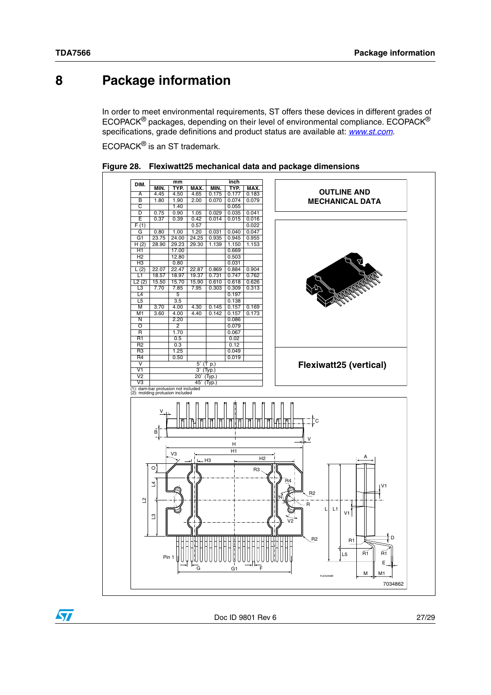## <span id="page-26-0"></span>**8 Package information**

In order to meet environmental requirements, ST offers these devices in different grades of ECOPACK® packages, depending on their level of environmental compliance. ECOPACK® specifications, grade definitions and product status are available at: *[www.st.com](http://www.st.com)*.

ECOPACK® is an ST trademark.



<span id="page-26-1"></span>

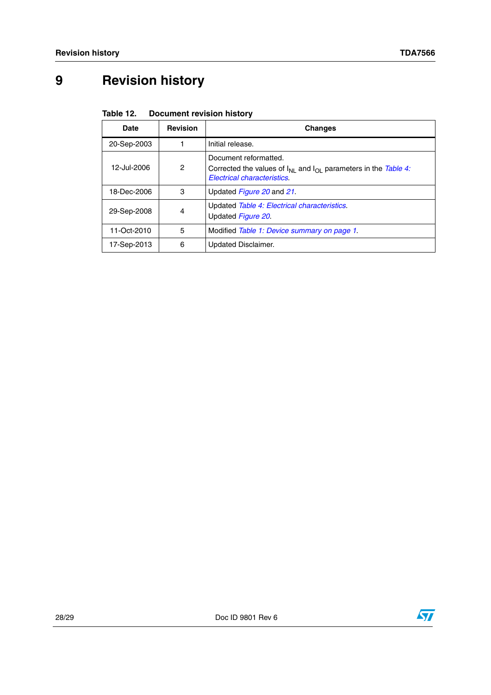## <span id="page-27-0"></span>**9 Revision history**

<span id="page-27-1"></span>

| Table 12. | <b>Document revision history</b> |  |
|-----------|----------------------------------|--|
|-----------|----------------------------------|--|

| <b>Date</b> | <b>Revision</b> | <b>Changes</b>                                                                                                                          |
|-------------|-----------------|-----------------------------------------------------------------------------------------------------------------------------------------|
| 20-Sep-2003 |                 | Initial release.                                                                                                                        |
| 12-Jul-2006 | 2               | Document reformatted.<br>Corrected the values of $I_{NI}$ and $I_{OI}$ parameters in the Table 4:<br><b>Electrical characteristics.</b> |
| 18-Dec-2006 | 3               | Updated Figure 20 and 21.                                                                                                               |
| 29-Sep-2008 | 4               | Updated Table 4: Electrical characteristics.<br>Updated Figure 20.                                                                      |
| 11-Oct-2010 | 5               | Modified Table 1: Device summary on page 1.                                                                                             |
| 17-Sep-2013 | 6               | <b>Updated Disclaimer.</b>                                                                                                              |